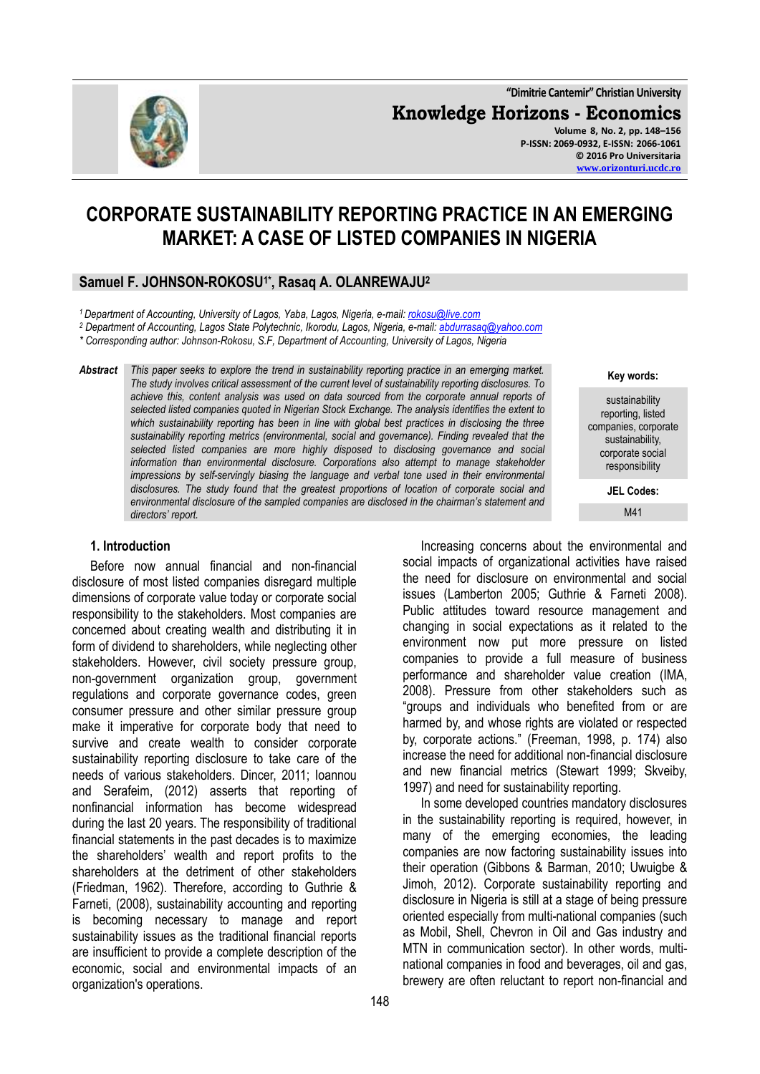**"Dimitrie Cantemir" Christian University Knowledge Horizons - Economics Volume 8, No. 2, pp. 148–156**

**P-ISSN: 2069-0932, E-ISSN: 2066-1061 © 2016 Pro Universitaria [www.orizonturi.ucdc.ro](http://www.orizonturi.ucdc.ro/)**

# **CORPORATE SUSTAINABILITY REPORTING PRACTICE IN AN EMERGING MARKET: A CASE OF LISTED COMPANIES IN NIGERIA**

### **Samuel F. JOHNSON-ROKOSU1\*, Rasaq A. OLANREWAJU<sup>2</sup>**

*<sup>1</sup>Department of Accounting, University of Lagos, Yaba, Lagos, Nigeria, e-mail: [rokosu@live.com](mailto:rokosu@live.com)*

*<sup>2</sup> Department of Accounting, Lagos State Polytechnic, Ikorodu, Lagos, Nigeria, e-mail[: abdurrasaq@yahoo.com](mailto:abdurrasaq@yahoo.com)*

*\* Corresponding author: Johnson-Rokosu, S.F, Department of Accounting, University of Lagos, Nigeria*

*Abstract This paper seeks to explore the trend in sustainability reporting practice in an emerging market. The study involves critical assessment of the current level of sustainability reporting disclosures. To achieve this, content analysis was used on data sourced from the corporate annual reports of selected listed companies quoted in Nigerian Stock Exchange. The analysis identifies the extent to which sustainability reporting has been in line with global best practices in disclosing the three sustainability reporting metrics (environmental, social and governance). Finding revealed that the selected listed companies are more highly disposed to disclosing governance and social information than environmental disclosure. Corporations also attempt to manage stakeholder impressions by self-servingly biasing the language and verbal tone used in their environmental disclosures. The study found that the greatest proportions of location of corporate social and environmental disclosure of the sampled companies are disclosed in the chairman's statement and directors' report.*

### **1. Introduction**

Before now annual financial and non-financial disclosure of most listed companies disregard multiple dimensions of corporate value today or corporate social responsibility to the stakeholders. Most companies are concerned about creating wealth and distributing it in form of dividend to shareholders, while neglecting other stakeholders. However, civil society pressure group, non-government organization group, government regulations and corporate governance codes, green consumer pressure and other similar pressure group make it imperative for corporate body that need to survive and create wealth to consider corporate sustainability reporting disclosure to take care of the needs of various stakeholders. Dincer, 2011; Ioannou and Serafeim, (2012) asserts that reporting of nonfinancial information has become widespread during the last 20 years. The responsibility of traditional financial statements in the past decades is to maximize the shareholders' wealth and report profits to the shareholders at the detriment of other stakeholders (Friedman, 1962). Therefore, according to Guthrie & Farneti, (2008), sustainability accounting and reporting is becoming necessary to manage and report sustainability issues as the traditional financial reports are insufficient to provide a complete description of the economic, social and environmental impacts of an organization's operations.

Increasing concerns about the environmental and social impacts of organizational activities have raised the need for disclosure on environmental and social issues (Lamberton 2005; Guthrie & Farneti 2008). Public attitudes toward resource management and changing in social expectations as it related to the environment now put more pressure on listed companies to provide a full measure of business performance and shareholder value creation (IMA, 2008). Pressure from other stakeholders such as "groups and individuals who benefited from or are harmed by, and whose rights are violated or respected by, corporate actions." (Freeman, 1998, p. 174) also increase the need for additional non-financial disclosure and new financial metrics (Stewart 1999; Skveiby, 1997) and need for sustainability reporting.

In some developed countries mandatory disclosures in the sustainability reporting is required, however, in many of the emerging economies, the leading companies are now factoring sustainability issues into their operation (Gibbons & Barman, 2010; Uwuigbe & Jimoh, 2012). Corporate sustainability reporting and disclosure in Nigeria is still at a stage of being pressure oriented especially from multi-national companies (such as Mobil, Shell, Chevron in Oil and Gas industry and MTN in communication sector). In other words, multinational companies in food and beverages, oil and gas, brewery are often reluctant to report non-financial and

#### **Key words:**

sustainability reporting, listed companies, corporate sustainability, corporate social responsibility

**JEL Codes:**

M41

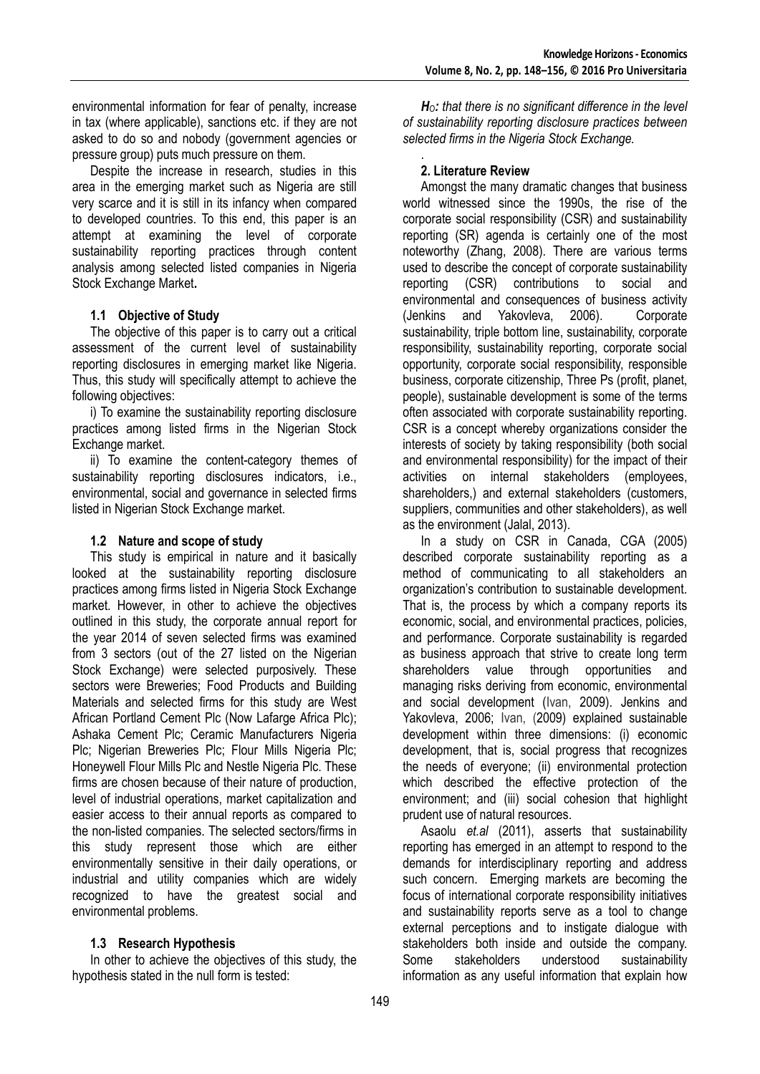environmental information for fear of penalty, increase in tax (where applicable), sanctions etc. if they are not asked to do so and nobody (government agencies or pressure group) puts much pressure on them.

Despite the increase in research, studies in this area in the emerging market such as Nigeria are still very scarce and it is still in its infancy when compared to developed countries. To this end, this paper is an attempt at examining the level of corporate sustainability reporting practices through content analysis among selected listed companies in Nigeria Stock Exchange Market**.**

## **1.1 Objective of Study**

The objective of this paper is to carry out a critical assessment of the current level of sustainability reporting disclosures in emerging market like Nigeria. Thus, this study will specifically attempt to achieve the following objectives:

i) To examine the sustainability reporting disclosure practices among listed firms in the Nigerian Stock Exchange market.

ii) To examine the content-category themes of sustainability reporting disclosures indicators, i.e., environmental, social and governance in selected firms listed in Nigerian Stock Exchange market.

### **1.2 Nature and scope of study**

This study is empirical in nature and it basically looked at the sustainability reporting disclosure practices among firms listed in Nigeria Stock Exchange market. However, in other to achieve the objectives outlined in this study, the corporate annual report for the year 2014 of seven selected firms was examined from 3 sectors (out of the 27 listed on the Nigerian Stock Exchange) were selected purposively. These sectors were Breweries; Food Products and Building Materials and selected firms for this study are West African Portland Cement Plc (Now Lafarge Africa Plc); Ashaka Cement Plc; Ceramic Manufacturers Nigeria Plc; Nigerian Breweries Plc; Flour Mills Nigeria Plc; Honeywell Flour Mills Plc and Nestle Nigeria Plc. These firms are chosen because of their nature of production, level of industrial operations, market capitalization and easier access to their annual reports as compared to the non-listed companies. The selected sectors/firms in this study represent those which are either environmentally sensitive in their daily operations, or industrial and utility companies which are widely recognized to have the greatest social and environmental problems.

### **1.3 Research Hypothesis**

In other to achieve the objectives of this study, the hypothesis stated in the null form is tested:

*HO: that there is no significant difference in the level of sustainability reporting disclosure practices between selected firms in the Nigeria Stock Exchange.*

#### . **2. Literature Review**

Amongst the many dramatic changes that business world witnessed since the 1990s, the rise of the corporate social responsibility (CSR) and sustainability reporting (SR) agenda is certainly one of the most noteworthy (Zhang, 2008). There are various terms used to describe the concept of corporate sustainability reporting (CSR) contributions to social and environmental and consequences of business activity (Jenkins and Yakovleva, 2006). Corporate sustainability, triple bottom line, sustainability, corporate responsibility, sustainability reporting, corporate social opportunity, corporate social responsibility, responsible business, corporate citizenship, Three Ps (profit, planet, people), sustainable development is some of the terms often associated with corporate sustainability reporting. CSR is a concept whereby organizations consider the interests of society by taking responsibility (both social and environmental responsibility) for the impact of their activities on internal stakeholders (employees, shareholders,) and external stakeholders (customers, suppliers, communities and other stakeholders), as well as the environment (Jalal, 2013).

In a study on CSR in Canada, CGA (2005) described corporate sustainability reporting as a method of communicating to all stakeholders an organization's contribution to sustainable development. That is, the process by which a company reports its economic, social, and environmental practices, policies, and performance. Corporate sustainability is regarded as business approach that strive to create long term shareholders value through opportunities and managing risks deriving from economic, environmental and social development (Ivan, 2009). Jenkins and Yakovleva, 2006; Ivan, (2009) explained sustainable development within three dimensions: (i) economic development, that is, social progress that recognizes the needs of everyone; (ii) environmental protection which described the effective protection of the environment; and (iii) social cohesion that highlight prudent use of natural resources.

Asaolu *et.al* (2011), asserts that sustainability reporting has emerged in an attempt to respond to the demands for interdisciplinary reporting and address such concern. Emerging markets are becoming the focus of international corporate responsibility initiatives and sustainability reports serve as a tool to change external perceptions and to instigate dialogue with stakeholders both inside and outside the company. Some stakeholders understood sustainability information as any useful information that explain how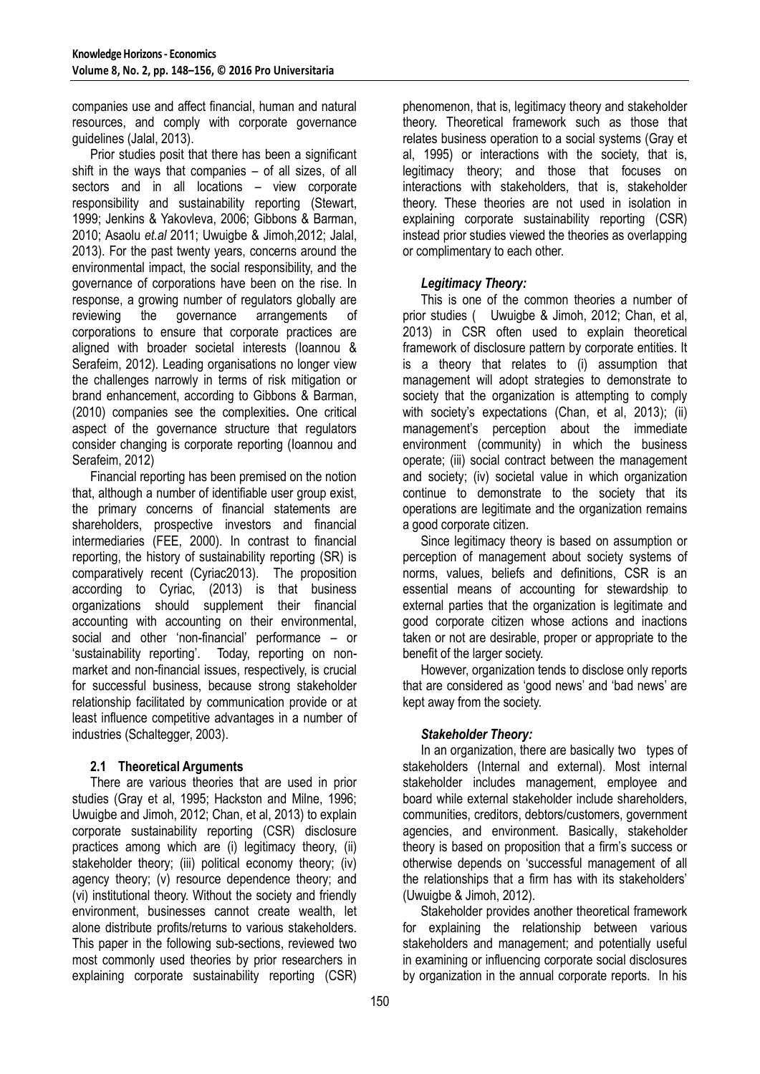companies use and affect financial, human and natural resources, and comply with corporate governance guidelines (Jalal, 2013).

Prior studies posit that there has been a significant shift in the ways that companies – of all sizes, of all sectors and in all locations – view corporate responsibility and sustainability reporting (Stewart, 1999; Jenkins & Yakovleva, 2006; Gibbons & Barman, 2010; Asaolu *et.al* 2011; Uwuigbe & Jimoh,2012; Jalal, 2013). For the past twenty years, concerns around the environmental impact, the social responsibility, and the governance of corporations have been on the rise. In response, a growing number of regulators globally are reviewing the governance arrangements of corporations to ensure that corporate practices are aligned with broader societal interests (Ioannou & Serafeim, 2012). Leading organisations no longer view the challenges narrowly in terms of risk mitigation or brand enhancement, according to Gibbons & Barman, (2010) companies see the complexities**.** One critical aspect of the governance structure that regulators consider changing is corporate reporting (Ioannou and Serafeim, 2012)

Financial reporting has been premised on the notion that, although a number of identifiable user group exist, the primary concerns of financial statements are shareholders, prospective investors and financial intermediaries (FEE, 2000). In contrast to financial reporting, the history of sustainability reporting (SR) is comparatively recent (Cyriac2013). The proposition according to Cyriac, (2013) is that business organizations should supplement their financial accounting with accounting on their environmental, social and other 'non-financial' performance  $-$  or 'sustainability reporting'. Today, reporting on nonmarket and non-financial issues, respectively, is crucial for successful business, because strong stakeholder relationship facilitated by communication provide or at least influence competitive advantages in a number of industries (Schaltegger, 2003).

# **2.1 Theoretical Arguments**

There are various theories that are used in prior studies (Gray et al, 1995; Hackston and Milne, 1996; Uwuigbe and Jimoh, 2012; Chan, et al, 2013) to explain corporate sustainability reporting (CSR) disclosure practices among which are (i) legitimacy theory, (ii) stakeholder theory; (iii) political economy theory; (iv) agency theory; (v) resource dependence theory; and (vi) institutional theory. Without the society and friendly environment, businesses cannot create wealth, let alone distribute profits/returns to various stakeholders. This paper in the following sub-sections, reviewed two most commonly used theories by prior researchers in explaining corporate sustainability reporting (CSR)

phenomenon, that is, legitimacy theory and stakeholder theory. Theoretical framework such as those that relates business operation to a social systems (Gray et al, 1995) or interactions with the society, that is, legitimacy theory; and those that focuses on interactions with stakeholders, that is, stakeholder theory. These theories are not used in isolation in explaining corporate sustainability reporting (CSR) instead prior studies viewed the theories as overlapping or complimentary to each other.

# *Legitimacy Theory:*

This is one of the common theories a number of prior studies ( Uwuigbe & Jimoh, 2012; Chan, et al, 2013) in CSR often used to explain theoretical framework of disclosure pattern by corporate entities. It is a theory that relates to (i) assumption that management will adopt strategies to demonstrate to society that the organization is attempting to comply with society's expectations (Chan, et al, 2013); (ii) management's perception about the immediate environment (community) in which the business operate; (iii) social contract between the management and society; (iv) societal value in which organization continue to demonstrate to the society that its operations are legitimate and the organization remains a good corporate citizen.

Since legitimacy theory is based on assumption or perception of management about society systems of norms, values, beliefs and definitions, CSR is an essential means of accounting for stewardship to external parties that the organization is legitimate and good corporate citizen whose actions and inactions taken or not are desirable, proper or appropriate to the benefit of the larger society.

However, organization tends to disclose only reports that are considered as 'good news' and 'bad news' are kept away from the society.

# *Stakeholder Theory:*

In an organization, there are basically two types of stakeholders (Internal and external). Most internal stakeholder includes management, employee and board while external stakeholder include shareholders, communities, creditors, debtors/customers, government agencies, and environment. Basically, stakeholder theory is based on proposition that a firm's success or otherwise depends on 'successful management of all the relationships that a firm has with its stakeholders' (Uwuigbe & Jimoh, 2012).

Stakeholder provides another theoretical framework for explaining the relationship between various stakeholders and management; and potentially useful in examining or influencing corporate social disclosures by organization in the annual corporate reports. In his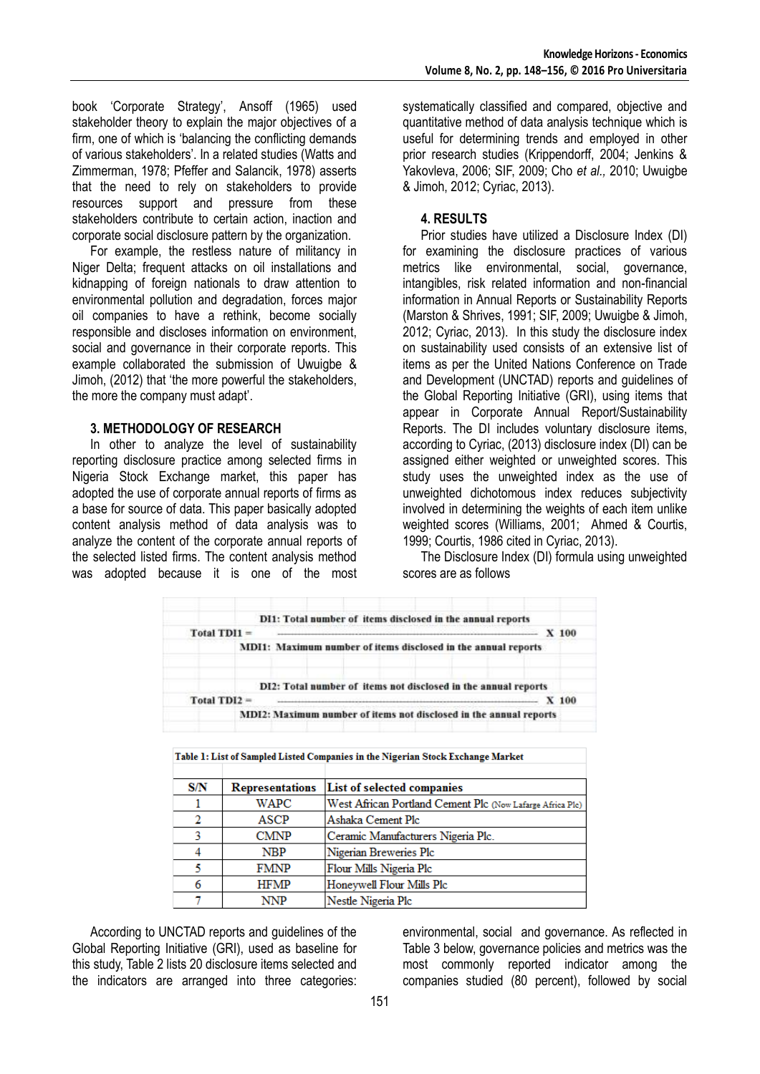book ‗Corporate Strategy', Ansoff (1965) used stakeholder theory to explain the major objectives of a firm, one of which is 'balancing the conflicting demands of various stakeholders'. In a related studies (Watts and Zimmerman, 1978; Pfeffer and Salancik, 1978) asserts that the need to rely on stakeholders to provide resources support and pressure from these stakeholders contribute to certain action, inaction and corporate social disclosure pattern by the organization.

For example, the restless nature of militancy in Niger Delta; frequent attacks on oil installations and kidnapping of foreign nationals to draw attention to environmental pollution and degradation, forces major oil companies to have a rethink, become socially responsible and discloses information on environment, social and governance in their corporate reports. This example collaborated the submission of Uwuigbe & Jimoh, (2012) that 'the more powerful the stakeholders, the more the company must adapt'.

### **3. METHODOLOGY OF RESEARCH**

In other to analyze the level of sustainability reporting disclosure practice among selected firms in Nigeria Stock Exchange market, this paper has adopted the use of corporate annual reports of firms as a base for source of data. This paper basically adopted content analysis method of data analysis was to analyze the content of the corporate annual reports of the selected listed firms. The content analysis method was adopted because it is one of the most systematically classified and compared, objective and quantitative method of data analysis technique which is useful for determining trends and employed in other prior research studies (Krippendorff, 2004; Jenkins & Yakovleva, 2006; SIF, 2009; Cho *et al.,* 2010; Uwuigbe & Jimoh, 2012; Cyriac, 2013).

### **4. RESULTS**

Prior studies have utilized a Disclosure Index (DI) for examining the disclosure practices of various metrics like environmental, social, governance, intangibles, risk related information and non-financial information in Annual Reports or Sustainability Reports (Marston & Shrives, 1991; SIF, 2009; Uwuigbe & Jimoh, 2012; Cyriac, 2013). In this study the disclosure index on sustainability used consists of an extensive list of items as per the United Nations Conference on Trade and Development (UNCTAD) reports and guidelines of the Global Reporting Initiative (GRI), using items that appear in Corporate Annual Report/Sustainability Reports. The DI includes voluntary disclosure items, according to Cyriac, (2013) disclosure index (DI) can be assigned either weighted or unweighted scores. This study uses the unweighted index as the use of unweighted dichotomous index reduces subjectivity involved in determining the weights of each item unlike weighted scores (Williams, 2001; Ahmed & Courtis, 1999; Courtis, 1986 cited in Cyriac, 2013).

The Disclosure Index (DI) formula using unweighted scores are as follows

|                |  | DI1: Total number of items disclosed in the annual reports     |         |
|----------------|--|----------------------------------------------------------------|---------|
| $Total TDI1 =$ |  |                                                                | $X$ 100 |
|                |  | MDI1: Maximum number of items disclosed in the annual reports  |         |
|                |  |                                                                |         |
|                |  |                                                                |         |
|                |  | DI2: Total number of items not disclosed in the annual reports |         |
| $Total TDI2 =$ |  |                                                                | $X$ 100 |

| S/N | <b>Representations</b> | List of selected companies                                |
|-----|------------------------|-----------------------------------------------------------|
|     | WAPC                   | West African Portland Cement Plc (Now Lafarge Africa Plc) |
| 2   | ASCP                   | Ashaka Cement Plc                                         |
| 3   | <b>CMNP</b>            | Ceramic Manufacturers Nigeria Plc.                        |
|     | <b>NBP</b>             | Nigerian Breweries Plc                                    |
|     | <b>FMNP</b>            | Flour Mills Nigeria Plc                                   |
| 6   | <b>HFMP</b>            | Honeywell Flour Mills Plc                                 |
|     | NNP                    | Nestle Nigeria Plc                                        |

Table 1: List of Sampled Listed Companies in the Nigerian Stock Exchange Market

According to UNCTAD reports and guidelines of the Global Reporting Initiative (GRI), used as baseline for this study, Table 2 lists 20 disclosure items selected and the indicators are arranged into three categories: environmental, social and governance. As reflected in Table 3 below, governance policies and metrics was the most commonly reported indicator among the companies studied (80 percent), followed by social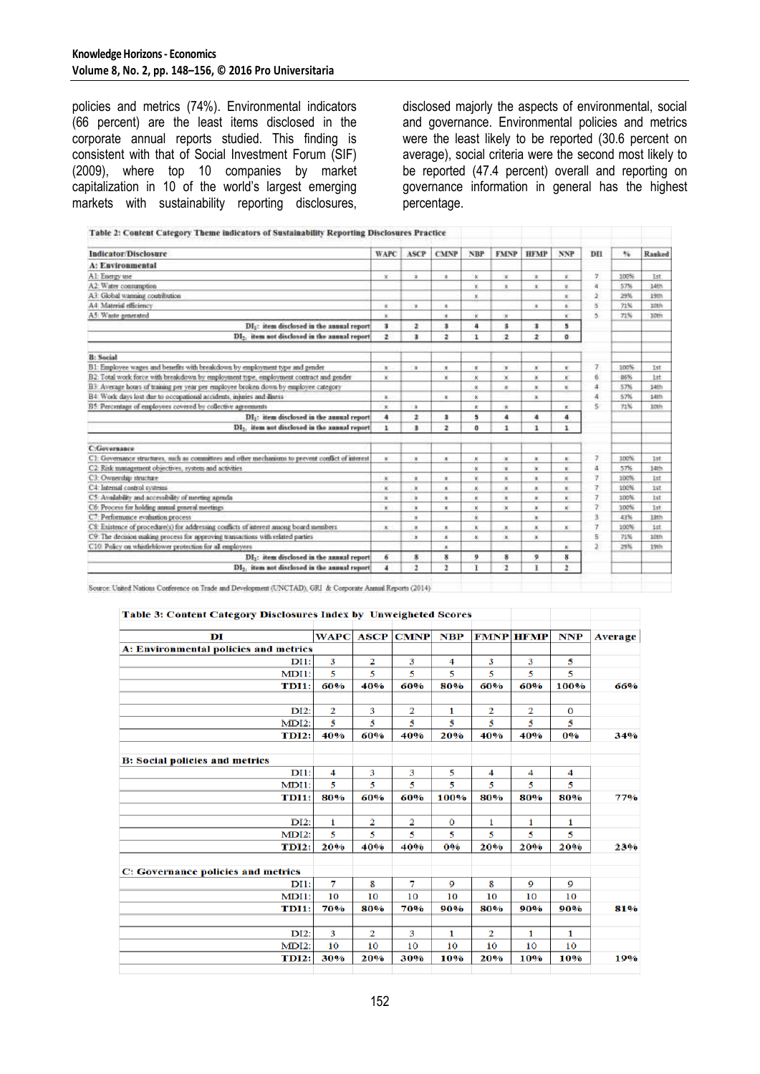policies and metrics (74%). Environmental indicators (66 percent) are the least items disclosed in the corporate annual reports studied. This finding is consistent with that of Social Investment Forum (SIF) (2009), where top 10 companies by market capitalization in 10 of the world's largest emerging markets with sustainability reporting disclosures, disclosed majorly the aspects of environmental, social and governance. Environmental policies and metrics were the least likely to be reported (30.6 percent on average), social criteria were the second most likely to be reported (47.4 percent) overall and reporting on governance information in general has the highest percentage.

| <b>Indicator/Disclosure</b>                                                                        | WAPC           | ASCP                    | <b>CMNP</b>    | <b>NBP</b>            | <b>FMNP</b>             | <b>HFMP</b>             | <b>NNP</b>               | DII | 96   | Ranked     |
|----------------------------------------------------------------------------------------------------|----------------|-------------------------|----------------|-----------------------|-------------------------|-------------------------|--------------------------|-----|------|------------|
| A: Environmental                                                                                   |                |                         |                |                       |                         |                         |                          |     |      |            |
| A1: Energy use                                                                                     | $\mathbf x$    | $\mathbf{x}$            | ×              | ×                     | ×                       | ×                       | x.                       | v.  | 100% | Ist        |
| A2: Water consumption                                                                              |                |                         |                | x                     | ×                       | ×                       | ×                        | a.  | 57%  | 14th       |
| A3: Global warming contribution                                                                    |                |                         |                | ĸ                     |                         |                         | $\overline{\mathbf{x}}$  | 2   | 39%  | 19th       |
| A4 Material efficiency                                                                             | ×              | ×                       | x              |                       |                         | ×                       | ×                        | 5   | 71%  | 10th       |
| A5: Waste generated                                                                                | ×              |                         | ×              | ×                     | $\infty$                |                         | ×                        | s.  | 71%  | 10th       |
| DI: item disclosed in the annual report                                                            | з              | z                       | а              | 4                     | т                       | $\overline{\mathbf{1}}$ | 5                        |     |      |            |
| DI <sub>2</sub> , item not disclosed in the annual report                                          | $\overline{2}$ | з                       | $\overline{z}$ | 1                     | 2                       | z                       | o                        |     |      |            |
| <b>B</b> : Social                                                                                  |                |                         |                |                       |                         |                         |                          |     |      |            |
| B1: Employee wages and benefits with breakdown by employment type and gendet                       | ×              | ×                       | ×              | ×.                    | $\mathbf{x}$            | ×                       | ×                        | 7   | 100% | Ist        |
| B2: Total work force with breakdown by employment type, employment contract and gender             | ×              |                         | ×              | ×                     | ×                       | ×                       | ĸ                        | 6   | 86%  | 1st        |
| B3: Average hours of training per year per employee broken down by employee category               |                |                         |                | $\propto$             | $\overline{a}$          | ×                       | $\overline{\phantom{a}}$ | a   | 57%  | 14th       |
| B4: Work days lost due to occupational accidents, injuries and illness                             | ×              |                         | ×              | ĸ                     |                         | $\mathbf x$             |                          | a   | 57%  | 141h       |
| B5: Percentage of employees covered by collective agreements                                       | ×              | $\mathbf{x}$            |                | $\kappa$              | $\mathbf x$             |                         | ×                        | s.  | 72%  | Inth       |
| DI <sub>3</sub> : item disclosed in the annual report                                              | 4              | ı                       | ı              | 5                     | 4                       | a                       | $\ddot{\phantom{a}}$     |     |      |            |
| DI-, item not disclosed in the annual report                                                       | 1              | 3                       | $\overline{z}$ | ٥                     | ı                       | 'n.                     | 1                        |     |      |            |
| <b>C:Governance</b>                                                                                |                |                         |                |                       |                         |                         |                          |     |      |            |
| C1: Governance structures, such as committees and other mechanisms to prevent conflict of asterest | ×              | ×                       | ×              | ĸ                     | ×                       | ×                       | K)                       | 7   | 100% | <b>Tif</b> |
| C2: Risk management objectives, system and activities                                              |                |                         |                | $\boldsymbol{\kappa}$ | ×                       | $\propto$               | ×                        | ă   | 57%  | 14th       |
| C3: Ownership structure                                                                            | ×              | ×                       | ×              | x                     | ×                       | ×                       | ×                        | γ   | 100% | 1st        |
| C4: Internal control systems                                                                       | ĸ              | ×                       | ×              | ×                     | ×                       | ×                       | ×.                       | 7   | 100% | 1st        |
| C5: Availability and accessibility of meeting agenda.                                              | ×              | $\mathbf x$             | $\mathbf x$    | ĸ                     | ×                       | $\mathbbm{1}$           | ×                        | T.  | 100% | <b>1st</b> |
| C6: Process for holding annual general meetings                                                    | ×              | $\mathbf{x}$            | ×              | $\mathbf x$           | $\mathbf{x}$            | ×                       | K.                       | 7   | 100% | 1st        |
| C7: Performance evaluation process                                                                 |                | $\overline{a}$          |                | ¥                     |                         | ×                       |                          | 3   | 43%  | 18th       |
| C8: Existence of procedure(s) for addressing conflicts of interest among board members             | ×              | ×                       | x              | ×                     | x                       | $\mathbf x$             | $\mathbf{K}$             | T   | 100% | ist        |
| C9: The decision making process for approving transactions with related parties                    |                | $\mathbf{x}$            | ×              | ĸ                     | ×                       | ×                       |                          | 5   | 71%  | 10th       |
| C10 Policy on whistleblower protection for all employees                                           |                |                         | ×              |                       |                         |                         | ×                        | x   | 29%  | 19th       |
| DI <sub>3</sub> : item disclosed in the annual report                                              | 6              | 8                       | 8              | 9                     | s.                      | $\mathbf{9}$            | 8                        |     |      |            |
| DI <sub>2</sub> . item not disclosed in the annual report                                          | 4              | $\overline{\mathbf{a}}$ | э              | Ŧ                     | $\overline{\mathbf{z}}$ | л                       | ž                        |     |      |            |

Source: United Nations Conference on Trade and Development (UNCTAD), GRI & Corporate Annual Reports (2014)

| Table 3: Content Category Disclosures Index by Unweigheted Scores |                         |     |                  |           |     |                  |      |         |
|-------------------------------------------------------------------|-------------------------|-----|------------------|-----------|-----|------------------|------|---------|
| DI                                                                | <b>WAPC</b>             |     | <b>ASCP CMNP</b> | $\bf NBP$ |     | <b>FMNP HFMP</b> | NNP  | Average |
| <b>A: Environmental policies and metrics</b>                      |                         |     |                  |           |     |                  |      |         |
| DI1:                                                              | 3                       | 2   | 3                | 4         | з   | 3                | 5    |         |
| MDI1:                                                             | 5                       | 5   | 5                | 5         | 5   | 5                | 5    |         |
| <b>TDI1:</b>                                                      | 60%                     | 40% | 60%              | 80%       | 60% | 60%              | 100% | 66%     |
| DI2:                                                              | $\overline{\mathbf{2}}$ | 3   | 2                | 1         | 2   | 2                | O    |         |
| <b>MDI2:</b>                                                      | 5                       | 5   | 5                | 5         | 5   | 5                | 5    |         |
| <b>TDI2:</b>                                                      | 40%                     | 60% | 40%              | 20%       | 40% | 40%              | 0%   | 34%     |
|                                                                   |                         |     |                  |           |     |                  |      |         |
| <b>B: Social policies and metrics</b>                             |                         |     |                  |           |     |                  |      |         |
| DI1:                                                              | 4                       | 3   | 3                | 5         | 4   | 4                | 4    |         |
| MDI1:                                                             | 5                       | 5   | 5                | 5         | 5   | 5                | 5    |         |
| <b>TDI1:</b>                                                      | 80%                     | 60% | 60%              | 100%      | 80% | 80%              | 80%  | 77%     |
|                                                                   |                         |     |                  |           |     |                  |      |         |
| DI2:                                                              | $\mathbf{1}$            | 2   | 2                | O         | 1   | 1                | 1    |         |
| <b>MDI2:</b>                                                      | 5                       | 5   | 5                | 5         | 5   | 5                | 5    |         |
| <b>TDI2:</b>                                                      | 20%                     | 40% | 40%              | 0%        | 20% | 20%              | 20%  | 23%     |
| C: Governance policies and metrics                                |                         |     |                  |           |     |                  |      |         |
| DI1:                                                              | 7                       | 8   | 7                | 9         | 8   | 9                | 9    |         |
| MDI1:                                                             | 10                      | 10  | 10               | 10        | 10  | 10               | 10   |         |
| TDI1:                                                             | 70%                     | 80% | 70%              | 90%       | 80% | 90%              | 90%  | 81%     |
|                                                                   |                         |     |                  |           |     |                  |      |         |
| DI2:                                                              | 3                       | 2   | 3                | 1         | 2   | 1                | 1    |         |
| <b>MDI2:</b>                                                      | 10                      | 10  | 10               | 10        | 10  | 10               | 10   |         |
| <b>TDI2:</b>                                                      | 30%                     | 20% | 30%              | 10%       | 20% | 10%              | 10%  | 19%     |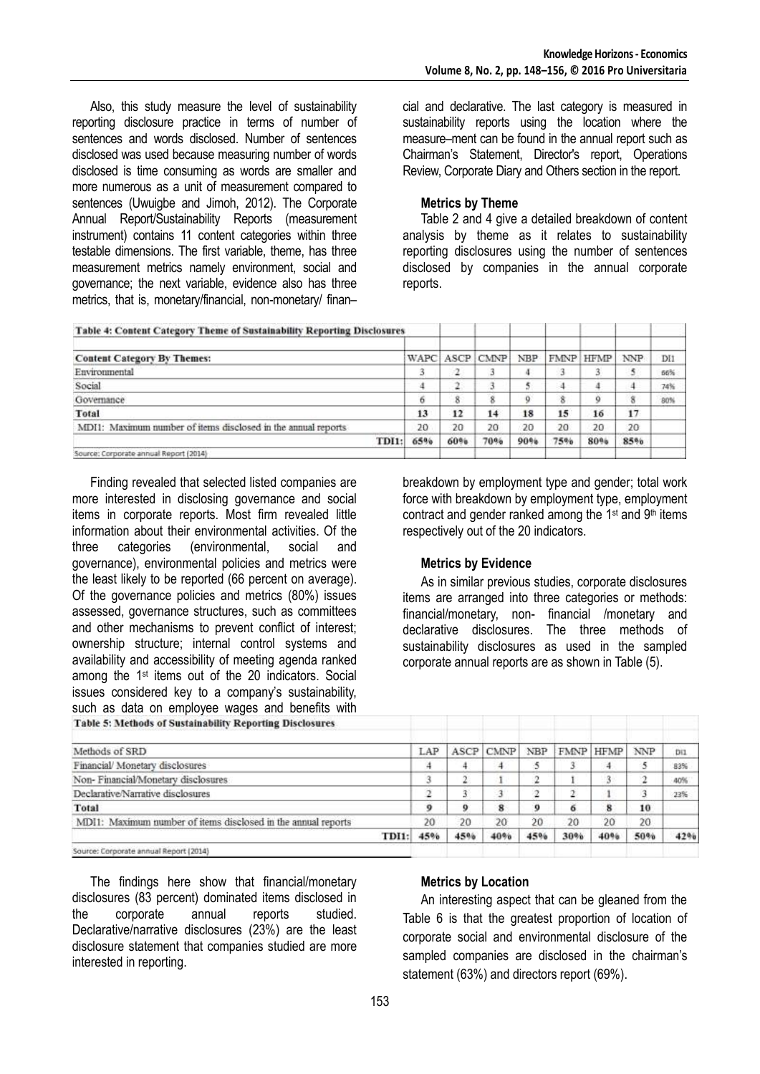Also, this study measure the level of sustainability reporting disclosure practice in terms of number of sentences and words disclosed. Number of sentences disclosed was used because measuring number of words disclosed is time consuming as words are smaller and more numerous as a unit of measurement compared to sentences (Uwuigbe and Jimoh, 2012). The Corporate Annual Report/Sustainability Reports (measurement instrument) contains 11 content categories within three testable dimensions. The first variable, theme, has three measurement metrics namely environment, social and governance; the next variable, evidence also has three metrics, that is, monetary/financial, non-monetary/ finan–

cial and declarative. The last category is measured in sustainability reports using the location where the measure–ment can be found in the annual report such as Chairman's Statement, Director's report, Operations Review, Corporate Diary and Others section in the report.

### **Metrics by Theme**

Table 2 and 4 give a detailed breakdown of content analysis by theme as it relates to sustainability reporting disclosures using the number of sentences disclosed by companies in the annual corporate reports.

| <b>Table 4: Content Category Theme of Sustainability Reporting Disclosures</b> |     |     |                |            |     |           |            |                 |
|--------------------------------------------------------------------------------|-----|-----|----------------|------------|-----|-----------|------------|-----------------|
| <b>Content Category By Themes:</b>                                             |     |     | WAPC ASCP CMNP | <b>NBP</b> |     | FMNP HFMP | <b>NNP</b> | DH <sub>1</sub> |
| Environmental                                                                  |     |     |                | a          |     |           | 5          | 66%             |
| Social                                                                         |     |     |                |            | 4   |           | 4          | 74%             |
| Governance                                                                     |     |     |                | o          | 8   |           | 8          | 80%             |
| Total                                                                          | 13  | 12  | 14             | 18         | 15  | 16        | 17         |                 |
| MDI1: Maximum number of items disclosed in the annual reports                  | 20  | 20  | 20             | 20         | 20  | 20        | 20         |                 |
| TDI1:                                                                          | 65% | 60% | 70%            | 90%        | 75% | 80%       | 85%        |                 |
| Source: Corporate annual Report (2014)                                         |     |     |                |            |     |           |            |                 |

Finding revealed that selected listed companies are more interested in disclosing governance and social items in corporate reports. Most firm revealed little information about their environmental activities. Of the three categories (environmental, social and governance), environmental policies and metrics were the least likely to be reported (66 percent on average). Of the governance policies and metrics (80%) issues assessed, governance structures, such as committees and other mechanisms to prevent conflict of interest; ownership structure; internal control systems and availability and accessibility of meeting agenda ranked among the 1st items out of the 20 indicators. Social issues considered key to a company's sustainability, such as data on employee wages and benefits with

breakdown by employment type and gender; total work force with breakdown by employment type, employment contract and gender ranked among the  $1st$  and  $9th$  items respectively out of the 20 indicators.

### **Metrics by Evidence**

As in similar previous studies, corporate disclosures items are arranged into three categories or methods: financial/monetary, non- financial /monetary and declarative disclosures. The three methods of sustainability disclosures as used in the sampled corporate annual reports are as shown in Table (5).

| <b>Table 5: Methods of Sustainability Reporting Disclosures</b> |     |      |             |            |      |             |            |     |
|-----------------------------------------------------------------|-----|------|-------------|------------|------|-------------|------------|-----|
| Methods of SRD                                                  | LAP | ASCP | <b>CMNP</b> | <b>NBP</b> | FMNP | <b>HFMP</b> | <b>NNP</b> | Di1 |
| Financial/Monetary disclosures                                  | 4   |      |             |            |      | 4           | 5          | 83% |
| Non-Financial/Monetary disclosures                              |     |      |             | ÷          |      | 3.          | 2          | 40% |
| Declarative/Narrative disclosures                               |     |      |             |            |      |             | 3          | 23% |
| Total                                                           |     |      | 8           | 0          | 6    | 8           | 10         |     |
| MDI1: Maximum number of items disclosed in the annual reports   | 20  | 20   | 20          | 20         | 20   | 20          | 20         |     |
| TDI1:                                                           | 45% | 45%  | 40%         | 45%        | 30%  | 40%         | 50%        | 42% |
| Source: Corporate annual Report (2014)                          |     |      |             |            |      |             |            |     |

The findings here show that financial/monetary disclosures (83 percent) dominated items disclosed in the corporate annual reports studied. Declarative/narrative disclosures (23%) are the least disclosure statement that companies studied are more interested in reporting.

### **Metrics by Location**

An interesting aspect that can be gleaned from the Table 6 is that the greatest proportion of location of corporate social and environmental disclosure of the sampled companies are disclosed in the chairman's statement (63%) and directors report (69%).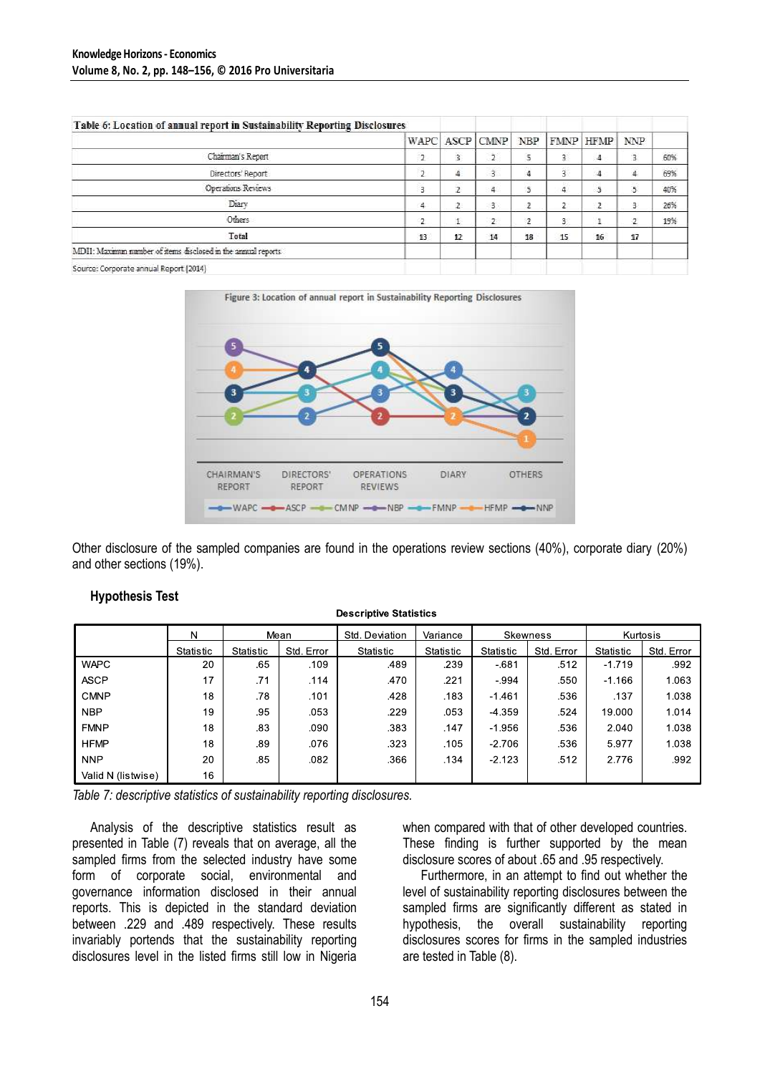| Table 6: Location of annual report in Sustainability Reporting Disclosures |                |    |                    |    |    |           |                |     |
|----------------------------------------------------------------------------|----------------|----|--------------------|----|----|-----------|----------------|-----|
|                                                                            |                |    | WAPC ASCP CMNP NBP |    |    | FMNP HFMP | NNP            |     |
| Chairman's Report                                                          | -2             |    |                    | 5  | 3  | 4         | $\overline{3}$ | 60% |
| Directors' Report                                                          | $\overline{2}$ |    | 3                  | 4  | ä. | 4         | 4              | 69% |
| Operations Reviews                                                         | 3              |    | 4                  | 5  | 4  | 5         | 5              | 40% |
| Diary                                                                      | 4              |    | з                  | 2  | 2  | 2         | 3              | 26% |
| Others                                                                     | $\overline{2}$ |    | $\overline{2}$     | 2  | 3  | ÷.        | 2              | 19% |
| Total                                                                      | 13             | 12 | 14                 | 18 | 15 | 16        | 17             |     |
| MDI1: Maximin number of items disclosed in the annual reports              |                |    |                    |    |    |           |                |     |
| Source: Cornorate annual Report (2014).                                    |                |    |                    |    |    |           |                |     |



Other disclosure of the sampled companies are found in the operations review sections (40%), corporate diary (20%) and other sections (19%).

|                    | N         | Mean      |            | Std. Deviation | Variance  |          | Skewness                | Kurtosis |            |  |
|--------------------|-----------|-----------|------------|----------------|-----------|----------|-------------------------|----------|------------|--|
|                    | Statistic | Statistic | Std. Error | Statistic      | Statistic |          | Std. Error<br>Statistic |          | Std. Error |  |
| <b>WAPC</b>        | 20        | .65       | .109       | .489           | .239      | $-681$   | .512                    | $-1.719$ | .992       |  |
| <b>ASCP</b>        | 17        | .71       | .114       | .470           | .221      | $-.994$  | .550                    | $-1.166$ | 1.063      |  |
| <b>CMNP</b>        | 18        | .78       | .101       | 428            | .183      | $-1.461$ | 536                     | .137     | 1.038      |  |
| <b>NBP</b>         | 19        | .95       | .053       | .229           | .053      | $-4.359$ | .524                    | 19.000   | 1.014      |  |
| <b>FMNP</b>        | 18        | .83       | .090       | .383           | .147      | $-1.956$ | .536                    | 2.040    | 1.038      |  |
| <b>HFMP</b>        | 18        | .89       | .076       | .323           | .105      | $-2.706$ | .536                    | 5.977    | 1.038      |  |
| <b>NNP</b>         | 20        | .85       | .082       | .366           | .134      | $-2.123$ | .512                    | 2.776    | .992       |  |
| Valid N (listwise) | 16        |           |            |                |           |          |                         |          |            |  |

**Descriptive Statistics** 

*Table 7: descriptive statistics of sustainability reporting disclosures.*

Analysis of the descriptive statistics result as presented in Table (7) reveals that on average, all the sampled firms from the selected industry have some form of corporate social, environmental and governance information disclosed in their annual reports. This is depicted in the standard deviation between .229 and .489 respectively. These results invariably portends that the sustainability reporting disclosures level in the listed firms still low in Nigeria

when compared with that of other developed countries. These finding is further supported by the mean disclosure scores of about .65 and .95 respectively.

Furthermore, in an attempt to find out whether the level of sustainability reporting disclosures between the sampled firms are significantly different as stated in hypothesis, the overall sustainability reporting disclosures scores for firms in the sampled industries are tested in Table (8).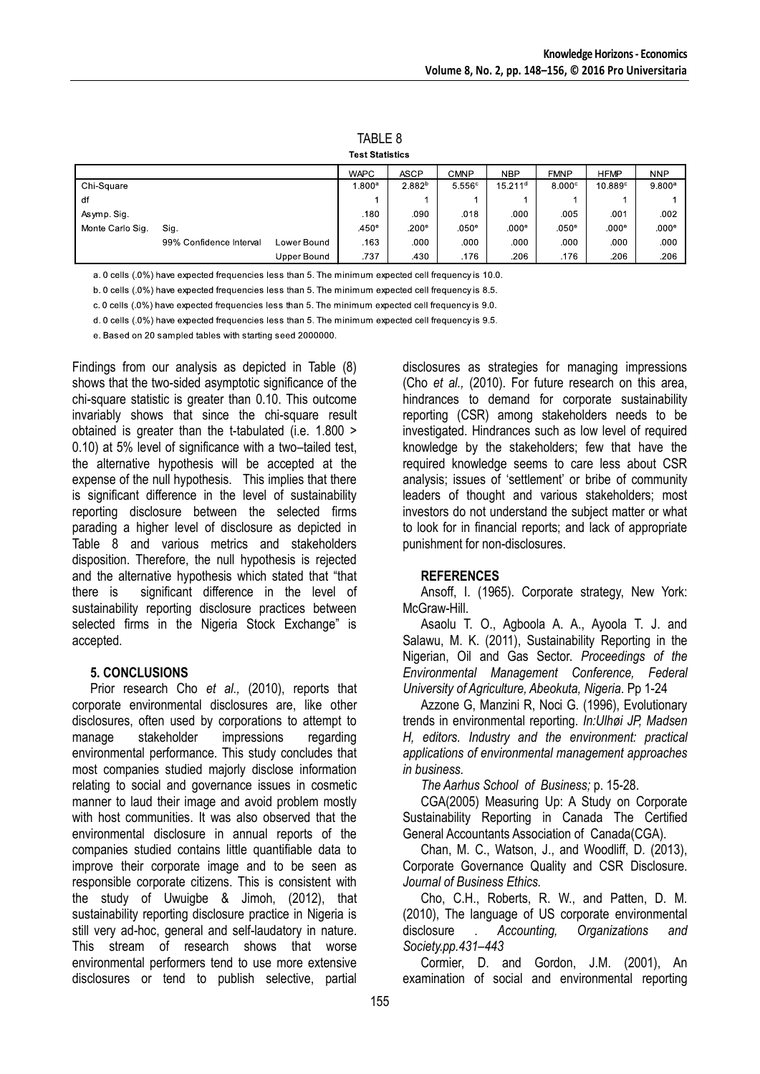|                  |                         |             | Test Statistics   |                    |                   |                     |                   |                   |                    |
|------------------|-------------------------|-------------|-------------------|--------------------|-------------------|---------------------|-------------------|-------------------|--------------------|
|                  |                         |             | <b>WAPC</b>       | <b>ASCP</b>        | CMNP              | <b>NBP</b>          | <b>FMNP</b>       | <b>HFMP</b>       | <b>NNP</b>         |
| Chi-Square       |                         |             | .800 <sup>a</sup> | 2.882 <sup>b</sup> | 5.556c            | 15.211 <sup>d</sup> | 8.000c            | $10.889^\circ$    | 9.800 <sup>a</sup> |
| df               |                         |             |                   |                    |                   |                     |                   |                   |                    |
| Asymp. Sig.      |                         |             | .180              | .090               | .018              | .000                | .005              | .001              | .002               |
| Monte Carlo Sig. | Sig.                    |             | .450 <sup>e</sup> | .200 <sup>e</sup>  | .050 <sup>e</sup> | .000 <sup>e</sup>   | .050 <sup>e</sup> | .000 <sup>e</sup> | .000 <sup>e</sup>  |
|                  | 99% Confidence Interval | Lower Bound | .163              | .000               | .000              | .000                | .000              | .000              | .000               |
|                  |                         | Upper Bound | .737              | .430               | .176              | .206                | .176              | .206              | .206               |

TABLE 8

a. 0 cells (.0%) have expected frequencies less than 5. The minimum expected cell frequency is 10.0.

b. 0 cells (.0%) have expected frequencies less than 5. The minimum expected cell frequency is 8.5.

c. 0 cells (.0%) have expected frequencies less than 5. The minimum expected cell frequency is 9.0.

d. 0 cells (.0%) have expected frequencies less than 5. The minimum expected cell frequency is 9.5.

e. Based on 20 sampled tables with starting seed 2000000.

Findings from our analysis as depicted in Table (8) shows that the two-sided asymptotic significance of the chi-square statistic is greater than 0.10. This outcome invariably shows that since the chi-square result obtained is greater than the t-tabulated (i.e. 1.800 > 0.10) at 5% level of significance with a two–tailed test. the alternative hypothesis will be accepted at the expense of the null hypothesis. This implies that there is significant difference in the level of sustainability reporting disclosure between the selected firms parading a higher level of disclosure as depicted in Table 8 and various metrics and stakeholders disposition. Therefore, the null hypothesis is rejected and the alternative hypothesis which stated that "that there is significant difference in the level of sustainability reporting disclosure practices between selected firms in the Nigeria Stock Exchange" is accepted.

#### **5. CONCLUSIONS**

Prior research Cho *et al.,* (2010), reports that corporate environmental disclosures are, like other disclosures, often used by corporations to attempt to manage stakeholder impressions regarding environmental performance. This study concludes that most companies studied majorly disclose information relating to social and governance issues in cosmetic manner to laud their image and avoid problem mostly with host communities. It was also observed that the environmental disclosure in annual reports of the companies studied contains little quantifiable data to improve their corporate image and to be seen as responsible corporate citizens. This is consistent with the study of Uwuigbe & Jimoh, (2012), that sustainability reporting disclosure practice in Nigeria is still very ad-hoc, general and self-laudatory in nature. This stream of research shows that worse environmental performers tend to use more extensive disclosures or tend to publish selective, partial

disclosures as strategies for managing impressions (Cho *et al.,* (2010). For future research on this area, hindrances to demand for corporate sustainability reporting (CSR) among stakeholders needs to be investigated. Hindrances such as low level of required knowledge by the stakeholders; few that have the required knowledge seems to care less about CSR analysis; issues of 'settlement' or bribe of community leaders of thought and various stakeholders; most investors do not understand the subject matter or what to look for in financial reports; and lack of appropriate punishment for non-disclosures.

#### **REFERENCES**

Ansoff, I. (1965). Corporate strategy, New York: McGraw-Hill.

Asaolu T. O., Agboola A. A., Ayoola T. J. and Salawu, M. K. (2011), Sustainability Reporting in the Nigerian, Oil and Gas Sector. *Proceedings of the Environmental Management Conference, Federal University of Agriculture, Abeokuta, Nigeria*. Pp 1-24

Azzone G, Manzini R, Noci G. (1996), Evolutionary trends in environmental reporting. *In:Ulhøi JP, Madsen H, editors. Industry and the environment: practical applications of environmental management approaches in business.* 

*The Aarhus School of Business;* p. 15-28.

CGA(2005) Measuring Up: A Study on Corporate Sustainability Reporting in Canada The Certified General Accountants Association of Canada(CGA).

Chan, M. C., Watson, J., and Woodliff, D. (2013), Corporate Governance Quality and CSR Disclosure. *Journal of Business Ethics.*

Cho, C.H., Roberts, R. W., and Patten, D. M. (2010), The language of US corporate environmental disclosure . *Accounting, Organizations and Society.pp.431–443*

Cormier, D. and Gordon, J.M. (2001), An examination of social and environmental reporting